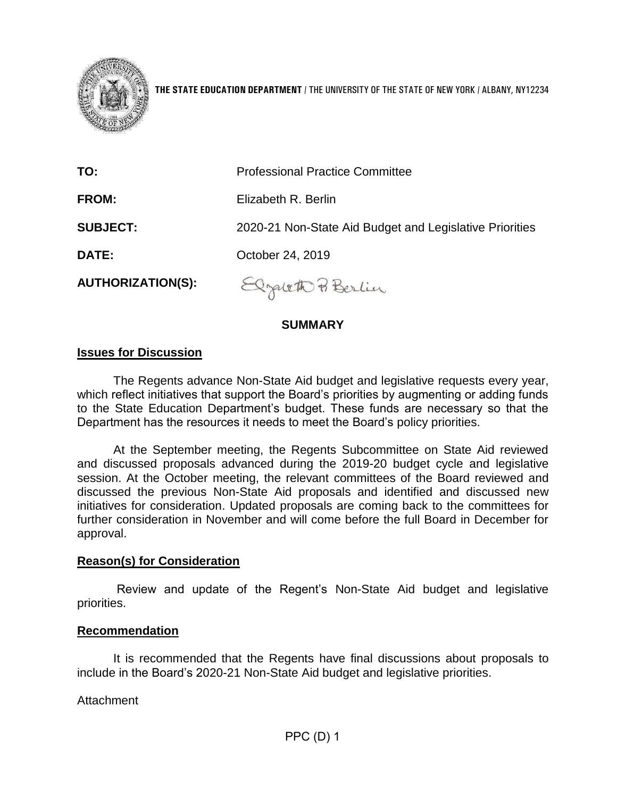

**THE STATE EDUCATION DEPARTMENT** / THE UNIVERSITY OF THE STATE OF NEW YORK / ALBANY, NY12234

| TO:                      | <b>Professional Practice Committee</b>                  |
|--------------------------|---------------------------------------------------------|
| <b>FROM:</b>             | Elizabeth R. Berlin                                     |
| <b>SUBJECT:</b>          | 2020-21 Non-State Aid Budget and Legislative Priorities |
| <b>DATE:</b>             | October 24, 2019                                        |
| <b>AUTHORIZATION(S):</b> | Elzaleth Berlin                                         |

## **SUMMARY**

### **Issues for Discussion**

The Regents advance Non-State Aid budget and legislative requests every year, which reflect initiatives that support the Board's priorities by augmenting or adding funds to the State Education Department's budget. These funds are necessary so that the Department has the resources it needs to meet the Board's policy priorities.

At the September meeting, the Regents Subcommittee on State Aid reviewed and discussed proposals advanced during the 2019-20 budget cycle and legislative session. At the October meeting, the relevant committees of the Board reviewed and discussed the previous Non-State Aid proposals and identified and discussed new initiatives for consideration. Updated proposals are coming back to the committees for further consideration in November and will come before the full Board in December for approval.

#### **Reason(s) for Consideration**

Review and update of the Regent's Non-State Aid budget and legislative priorities.

#### **Recommendation**

It is recommended that the Regents have final discussions about proposals to include in the Board's 2020-21 Non-State Aid budget and legislative priorities.

#### Attachment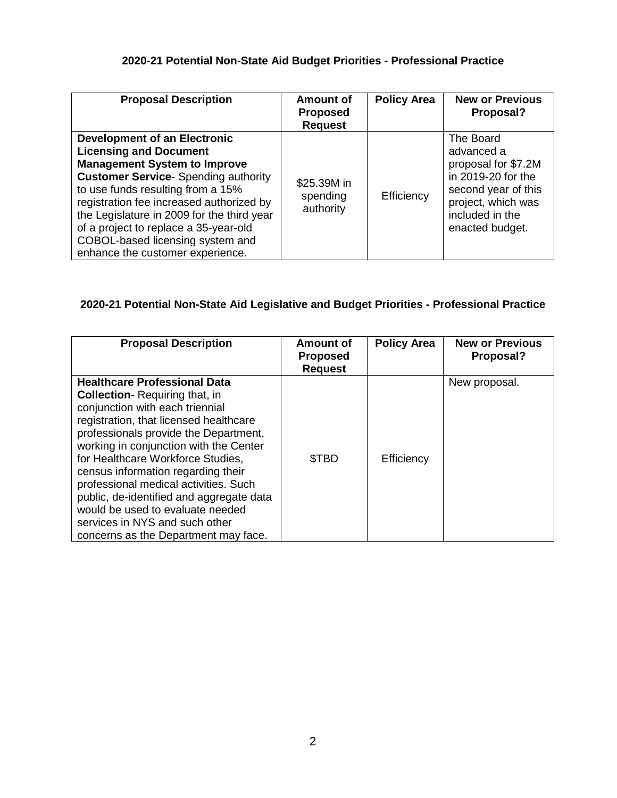### **2020-21 Potential Non-State Aid Budget Priorities - Professional Practice**

| <b>Proposal Description</b>                                                                                                                                                                                                                                                                                                                                                                                | <b>Amount of</b><br><b>Proposed</b><br><b>Request</b> | <b>Policy Area</b> | <b>New or Previous</b><br>Proposal?                                                                                                                     |
|------------------------------------------------------------------------------------------------------------------------------------------------------------------------------------------------------------------------------------------------------------------------------------------------------------------------------------------------------------------------------------------------------------|-------------------------------------------------------|--------------------|---------------------------------------------------------------------------------------------------------------------------------------------------------|
| <b>Development of an Electronic</b><br><b>Licensing and Document</b><br><b>Management System to Improve</b><br><b>Customer Service-</b> Spending authority<br>to use funds resulting from a 15%<br>registration fee increased authorized by<br>the Legislature in 2009 for the third year<br>of a project to replace a 35-year-old<br>COBOL-based licensing system and<br>enhance the customer experience. | \$25.39M in<br>spending<br>authority                  | Efficiency         | The Board<br>advanced a<br>proposal for \$7.2M<br>in 2019-20 for the<br>second year of this<br>project, which was<br>included in the<br>enacted budget. |

## **2020-21 Potential Non-State Aid Legislative and Budget Priorities - Professional Practice**

| <b>Proposal Description</b>                                                                                                                                                                                                                                                                                                                                                                                                                                                                                                | <b>Amount of</b><br><b>Proposed</b><br><b>Request</b> | <b>Policy Area</b> | <b>New or Previous</b><br>Proposal? |
|----------------------------------------------------------------------------------------------------------------------------------------------------------------------------------------------------------------------------------------------------------------------------------------------------------------------------------------------------------------------------------------------------------------------------------------------------------------------------------------------------------------------------|-------------------------------------------------------|--------------------|-------------------------------------|
| <b>Healthcare Professional Data</b><br><b>Collection-</b> Requiring that, in<br>conjunction with each triennial<br>registration, that licensed healthcare<br>professionals provide the Department,<br>working in conjunction with the Center<br>for Healthcare Workforce Studies,<br>census information regarding their<br>professional medical activities. Such<br>public, de-identified and aggregate data<br>would be used to evaluate needed<br>services in NYS and such other<br>concerns as the Department may face. | \$TBD                                                 | Efficiency         | New proposal.                       |